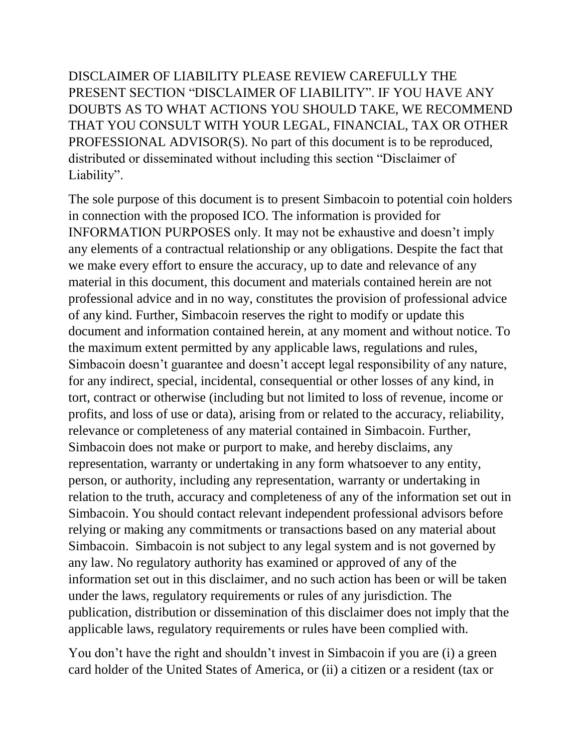DISCLAIMER OF LIABILITY PLEASE REVIEW CAREFULLY THE PRESENT SECTION "DISCLAIMER OF LIABILITY". IF YOU HAVE ANY DOUBTS AS TO WHAT ACTIONS YOU SHOULD TAKE, WE RECOMMEND THAT YOU CONSULT WITH YOUR LEGAL, FINANCIAL, TAX OR OTHER PROFESSIONAL ADVISOR(S). No part of this document is to be reproduced, distributed or disseminated without including this section "Disclaimer of Liability".

The sole purpose of this document is to present Simbacoin to potential coin holders in connection with the proposed ICO. The information is provided for INFORMATION PURPOSES only. It may not be exhaustive and doesn't imply any elements of a contractual relationship or any obligations. Despite the fact that we make every effort to ensure the accuracy, up to date and relevance of any material in this document, this document and materials contained herein are not professional advice and in no way, constitutes the provision of professional advice of any kind. Further, Simbacoin reserves the right to modify or update this document and information contained herein, at any moment and without notice. To the maximum extent permitted by any applicable laws, regulations and rules, Simbacoin doesn't guarantee and doesn't accept legal responsibility of any nature, for any indirect, special, incidental, consequential or other losses of any kind, in tort, contract or otherwise (including but not limited to loss of revenue, income or profits, and loss of use or data), arising from or related to the accuracy, reliability, relevance or completeness of any material contained in Simbacoin. Further, Simbacoin does not make or purport to make, and hereby disclaims, any representation, warranty or undertaking in any form whatsoever to any entity, person, or authority, including any representation, warranty or undertaking in relation to the truth, accuracy and completeness of any of the information set out in Simbacoin. You should contact relevant independent professional advisors before relying or making any commitments or transactions based on any material about Simbacoin. Simbacoin is not subject to any legal system and is not governed by any law. No regulatory authority has examined or approved of any of the information set out in this disclaimer, and no such action has been or will be taken under the laws, regulatory requirements or rules of any jurisdiction. The publication, distribution or dissemination of this disclaimer does not imply that the applicable laws, regulatory requirements or rules have been complied with.

You don't have the right and shouldn't invest in Simbacoin if you are (i) a green card holder of the United States of America, or (ii) a citizen or a resident (tax or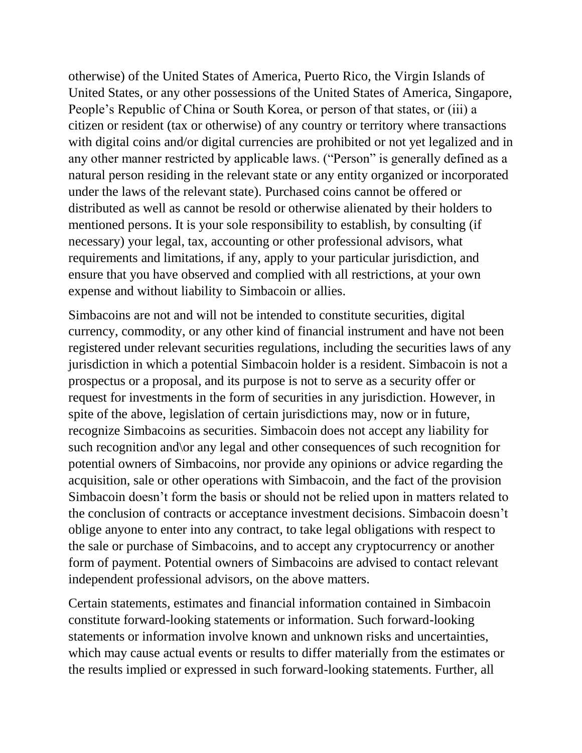otherwise) of the United States of America, Puerto Rico, the Virgin Islands of United States, or any other possessions of the United States of America, Singapore, People's Republic of China or South Korea, or person of that states, or (iii) a citizen or resident (tax or otherwise) of any country or territory where transactions with digital coins and/or digital currencies are prohibited or not yet legalized and in any other manner restricted by applicable laws. ("Person" is generally defined as a natural person residing in the relevant state or any entity organized or incorporated under the laws of the relevant state). Purchased coins cannot be offered or distributed as well as cannot be resold or otherwise alienated by their holders to mentioned persons. It is your sole responsibility to establish, by consulting (if necessary) your legal, tax, accounting or other professional advisors, what requirements and limitations, if any, apply to your particular jurisdiction, and ensure that you have observed and complied with all restrictions, at your own expense and without liability to Simbacoin or allies.

Simbacoins are not and will not be intended to constitute securities, digital currency, commodity, or any other kind of financial instrument and have not been registered under relevant securities regulations, including the securities laws of any jurisdiction in which a potential Simbacoin holder is a resident. Simbacoin is not a prospectus or a proposal, and its purpose is not to serve as a security offer or request for investments in the form of securities in any jurisdiction. However, in spite of the above, legislation of certain jurisdictions may, now or in future, recognize Simbacoins as securities. Simbacoin does not accept any liability for such recognition and\or any legal and other consequences of such recognition for potential owners of Simbacoins, nor provide any opinions or advice regarding the acquisition, sale or other operations with Simbacoin, and the fact of the provision Simbacoin doesn't form the basis or should not be relied upon in matters related to the conclusion of contracts or acceptance investment decisions. Simbacoin doesn't oblige anyone to enter into any contract, to take legal obligations with respect to the sale or purchase of Simbacoins, and to accept any cryptocurrency or another form of payment. Potential owners of Simbacoins are advised to contact relevant independent professional advisors, on the above matters.

Certain statements, estimates and financial information contained in Simbacoin constitute forward-looking statements or information. Such forward-looking statements or information involve known and unknown risks and uncertainties, which may cause actual events or results to differ materially from the estimates or the results implied or expressed in such forward-looking statements. Further, all